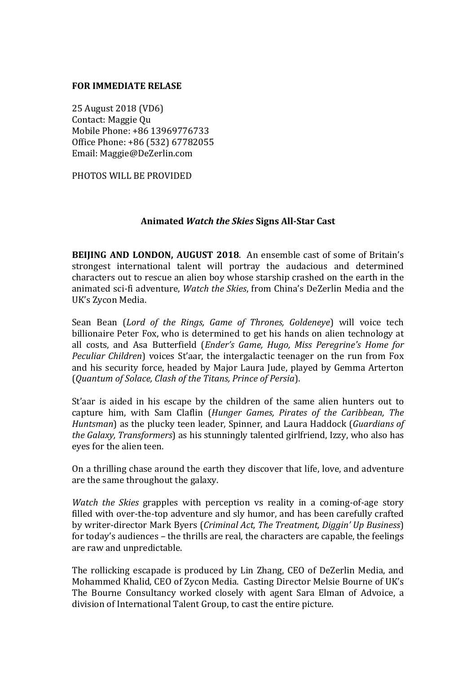#### **FOR IMMEDIATE RELASE**

25 August 2018 (VD6) Contact: Maggie Ou Mobile Phone: +86 13969776733 Office Phone: +86 (532) 67782055 Email: Maggie@DeZerlin.com

PHOTOS WILL BE PROVIDED

#### **Animated** *Watch the Skies* **Signs All-Star Cast**

**BEIJING AND LONDON, AUGUST 2018.** An ensemble cast of some of Britain's strongest international talent will portray the audacious and determined characters out to rescue an alien boy whose starship crashed on the earth in the animated sci-fi adventure, *Watch the Skies*, from China's DeZerlin Media and the UK's Zycon Media.

Sean Bean (*Lord of the Rings, Game of Thrones, Goldeneye*) will voice tech billionaire Peter Fox, who is determined to get his hands on alien technology at all costs, and Asa Butterfield (*Ender's Game, Hugo, Miss Peregrine's Home for Peculiar Children*) voices St'aar, the intergalactic teenager on the run from Fox and his security force, headed by Major Laura Jude, played by Gemma Arterton (*Quantum of Solace, Clash of the Titans, Prince of Persia*).

St'aar is aided in his escape by the children of the same alien hunters out to capture him, with Sam Claflin (*Hunger Games, Pirates of the Caribbean, The Huntsman*) as the plucky teen leader, Spinner, and Laura Haddock (*Guardians of the Galaxy, Transformers*) as his stunningly talented girlfriend, Izzy, who also has eyes for the alien teen.

On a thrilling chase around the earth they discover that life, love, and adventure are the same throughout the galaxy.

*Watch* the *Skies* grapples with perception vs reality in a coming-of-age story filled with over-the-top adventure and sly humor, and has been carefully crafted by writer-director Mark Byers (*Criminal Act, The Treatment, Diggin' Up Business*) for today's audiences – the thrills are real, the characters are capable, the feelings are raw and unpredictable.

The rollicking escapade is produced by Lin Zhang, CEO of DeZerlin Media, and Mohammed Khalid, CEO of Zycon Media. Casting Director Melsie Bourne of UK's The Bourne Consultancy worked closely with agent Sara Elman of Advoice, a division of International Talent Group, to cast the entire picture.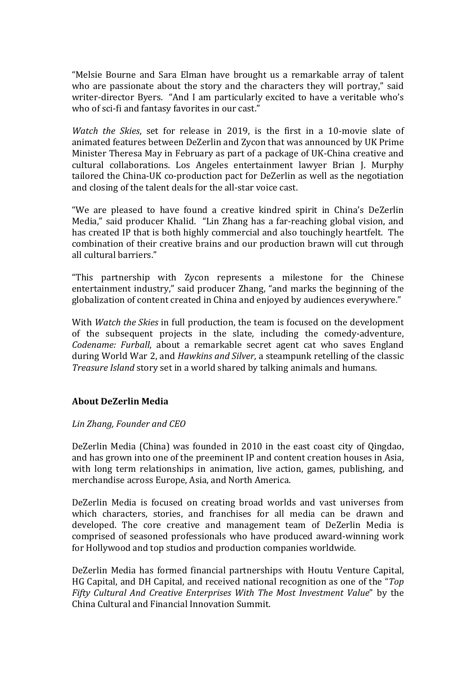"Melsie Bourne and Sara Elman have brought us a remarkable array of talent who are passionate about the story and the characters they will portray," said writer-director Byers. "And I am particularly excited to have a veritable who's who of sci-fi and fantasy favorites in our cast."

*Watch the Skies*, set for release in 2019, is the first in a 10-movie slate of animated features between DeZerlin and Zycon that was announced by UK Prime Minister Theresa May in February as part of a package of UK-China creative and cultural collaborations. Los Angeles entertainment lawyer Brian J. Murphy tailored the China-UK co-production pact for DeZerlin as well as the negotiation and closing of the talent deals for the all-star voice cast.

"We are pleased to have found a creative kindred spirit in China's DeZerlin Media," said producer Khalid. "Lin Zhang has a far-reaching global vision, and has created IP that is both highly commercial and also touchingly heartfelt. The combination of their creative brains and our production brawn will cut through all cultural barriers."

"This partnership with Zycon represents a milestone for the Chinese entertainment industry," said producer Zhang, "and marks the beginning of the globalization of content created in China and enjoyed by audiences everywhere."

With *Watch the Skies* in full production, the team is focused on the development of the subsequent projects in the slate, including the comedy-adventure, *Codename: Furball*, about a remarkable secret agent cat who saves England during World War 2, and *Hawkins and Silver*, a steampunk retelling of the classic *Treasure Island* story set in a world shared by talking animals and humans.

### **About DeZerlin Media**

### *Lin Zhang, Founder and CEO*

DeZerlin Media (China) was founded in 2010 in the east coast city of Oingdao, and has grown into one of the preeminent IP and content creation houses in Asia, with long term relationships in animation, live action, games, publishing, and merchandise across Europe, Asia, and North America.

DeZerlin Media is focused on creating broad worlds and vast universes from which characters, stories, and franchises for all media can be drawn and developed. The core creative and management team of DeZerlin Media is comprised of seasoned professionals who have produced award-winning work for Hollywood and top studios and production companies worldwide.

DeZerlin Media has formed financial partnerships with Houtu Venture Capital, HG Capital, and DH Capital, and received national recognition as one of the "*Top* Fifty Cultural And Creative Enterprises With The Most Investment Value" by the China Cultural and Financial Innovation Summit.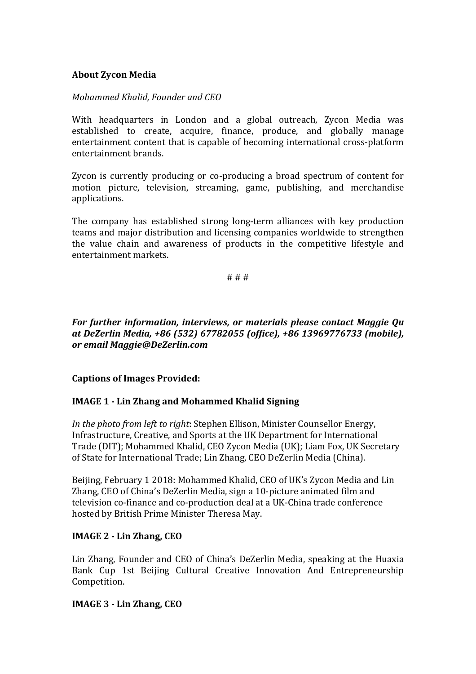### **About Zycon Media**

### *Mohammed Khalid, Founder and CEO*

With headquarters in London and a global outreach, Zycon Media was established to create, acquire, finance, produce, and globally manage entertainment content that is capable of becoming international cross-platform entertainment brands.

Zycon is currently producing or co-producing a broad spectrum of content for motion picture, television, streaming, game, publishing, and merchandise applications.

The company has established strong long-term alliances with key production teams and major distribution and licensing companies worldwide to strengthen the value chain and awareness of products in the competitive lifestyle and entertainment markets.

# # #

*For further information, interviews, or materials please contact Maggie Qu at DeZerlin Media, +86 (532) 67782055 (office), +86 13969776733 (mobile), or email Maggie@DeZerlin.com*

### **Captions of Images Provided:**

### **IMAGE 1 - Lin Zhang and Mohammed Khalid Signing**

*In the photo from left to right:* Stephen Ellison, Minister Counsellor Energy, Infrastructure, Creative, and Sports at the UK Department for International Trade (DIT); Mohammed Khalid, CEO Zycon Media (UK); Liam Fox, UK Secretary of State for International Trade; Lin Zhang, CEO DeZerlin Media (China).

Beijing, February 1 2018: Mohammed Khalid, CEO of UK's Zycon Media and Lin Zhang, CEO of China's DeZerlin Media, sign a 10-picture animated film and television co-finance and co-production deal at a UK-China trade conference hosted by British Prime Minister Theresa May.

## **IMAGE 2 - Lin Zhang, CEO**

Lin Zhang, Founder and CEO of China's DeZerlin Media, speaking at the Huaxia Bank Cup 1st Beijing Cultural Creative Innovation And Entrepreneurship Competition.

### **IMAGE 3 - Lin Zhang, CEO**